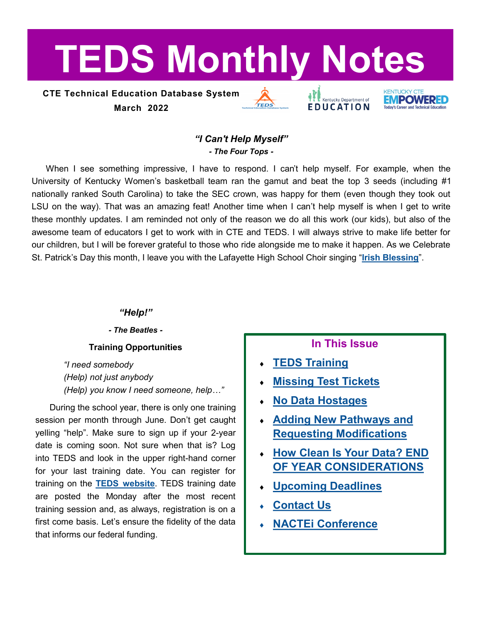# <span id="page-0-0"></span>**TEDS Monthly Notes**

# **CTE Technical Education Database System March 2022**

# *"I Can't Help Myself" - The Four Tops -*

TEDS

When I see something impressive, I have to respond. I can't help myself. For example, when the University of Kentucky Women's basketball team ran the gamut and beat the top 3 seeds (including #1 nationally ranked South Carolina) to take the SEC crown, was happy for them (even though they took out LSU on the way). That was an amazing feat! Another time when I can't help myself is when I get to write these monthly updates. I am reminded not only of the reason we do all this work (our kids), but also of the awesome team of educators I get to work with in CTE and TEDS. I will always strive to make life better for our children, but I will be forever grateful to those who ride alongside me to make it happen. As we Celebrate St. Patrick's Day this month, I leave you with the Lafayette High School Choir singing "**[Irish Blessing](https://www.youtube.com/watch?v=OJk16czUFQM)**".

## *"Help!"*

### *- The Beatles -*

# **Training Opportunities**

*"I need somebody (Help) not just anybody (Help) you know I need someone, help…"*

During the school year, there is only one training session per month through June. Don't get caught yelling "help". Make sure to sign up if your 2-year date is coming soon. Not sure when that is? Log into TEDS and look in the upper right-hand corner for your last training date. You can register for training on the **[TEDS website](https://education.ky.gov/CTE/teds/Pages/default.aspx)**. TEDS training date are posted the Monday after the most recent training session and, as always, registration is on a first come basis. Let's ensure the fidelity of the data that informs our federal funding.

# **In This Issue**

Kentucky Department of

EDUCATION

**EMPOWER** 

- **[TEDS Training](#page-0-0)**
- **[Missing Test Tickets](#page-1-0)**
- **[No Data Hostages](#page-1-0)**
- **[Adding New Pathways and](#page-2-0)  [Requesting Modifications](#page-2-0)**
- **[How Clean Is Your Data? END](#page-2-0)  [OF YEAR CONSIDERATIONS](#page-2-0)**
- **[Upcoming Deadlines](#page-3-0)**
- **[Contact Us](#page-3-0)**
- **[NACTEi Conference](#page-4-0)**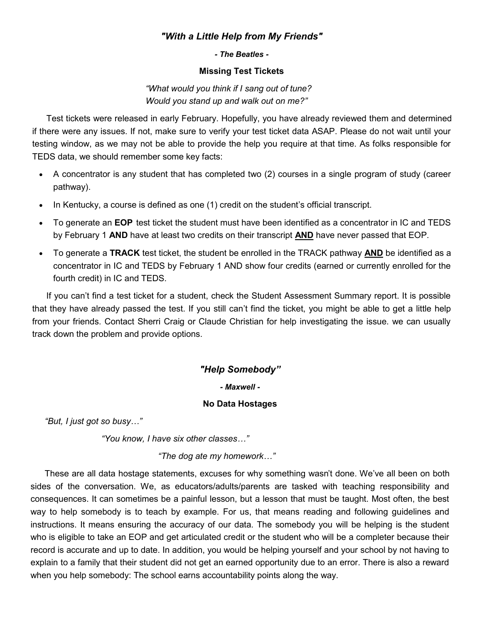# *"With a Little Help from My Friends"*

*- The Beatles -*

#### **Missing Test Tickets**

# *"What would you think if I sang out of tune? Would you stand up and walk out on me?"*

<span id="page-1-0"></span>Test tickets were released in early February. Hopefully, you have already reviewed them and determined if there were any issues. If not, make sure to verify your test ticket data ASAP. Please do not wait until your testing window, as we may not be able to provide the help you require at that time. As folks responsible for TEDS data, we should remember some key facts:

- A concentrator is any student that has completed two (2) courses in a single program of study (career pathway).
- In Kentucky, a course is defined as one (1) credit on the student's official transcript.
- To generate an **EOP** test ticket the student must have been identified as a concentrator in IC and TEDS by February 1 **AND** have at least two credits on their transcript **AND** have never passed that EOP.
- To generate a **TRACK** test ticket, the student be enrolled in the TRACK pathway **AND** be identified as a concentrator in IC and TEDS by February 1 AND show four credits (earned or currently enrolled for the fourth credit) in IC and TEDS.

If you can't find a test ticket for a student, check the Student Assessment Summary report. It is possible that they have already passed the test. If you still can't find the ticket, you might be able to get a little help from your friends. Contact Sherri Craig or Claude Christian for help investigating the issue. we can usually track down the problem and provide options.

# *"Help Somebody"*

### *- Maxwell -*

### **No Data Hostages**

*"But, I just got so busy…"*

*"You know, I have six other classes…"*

### *"The dog ate my homework…"*

These are all data hostage statements, excuses for why something wasn't done. We've all been on both sides of the conversation. We, as educators/adults/parents are tasked with teaching responsibility and consequences. It can sometimes be a painful lesson, but a lesson that must be taught. Most often, the best way to help somebody is to teach by example. For us, that means reading and following guidelines and instructions. It means ensuring the accuracy of our data. The somebody you will be helping is the student who is eligible to take an EOP and get articulated credit or the student who will be a completer because their record is accurate and up to date. In addition, you would be helping yourself and your school by not having to explain to a family that their student did not get an earned opportunity due to an error. There is also a reward when you help somebody: The school earns accountability points along the way.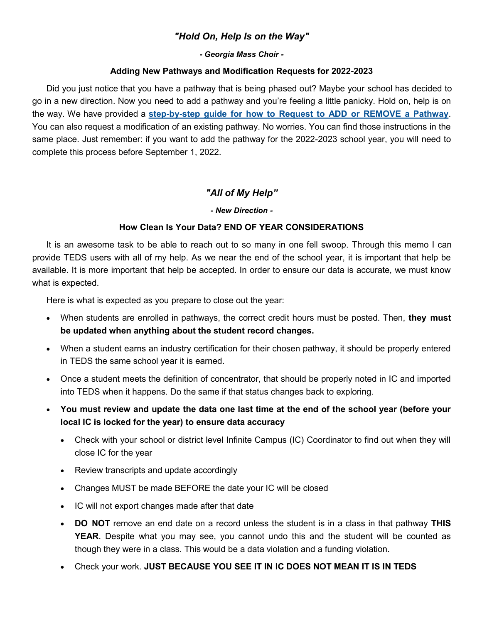# *"Hold On, Help Is on the Way"*

#### *- Georgia Mass Choir -*

#### **Adding New Pathways and Modification Requests for 2022-2023**

<span id="page-2-0"></span>Did you just notice that you have a pathway that is being phased out? Maybe your school has decided to go in a new direction. Now you need to add a pathway and you're feeling a little panicky. Hold on, help is on the way. We have provided a **step-by-[step guide for how to Request to ADD or REMOVE a Pathway](https://education.ky.gov/CTE/teds/Pages/TEDSStepbyStep.aspx)**. You can also request a modification of an existing pathway. No worries. You can find those instructions in the same place. Just remember: if you want to add the pathway for the 2022-2023 school year, you will need to complete this process before September 1, 2022.

# *"All of My Help"*

#### *- New Direction -*

### **How Clean Is Your Data? END OF YEAR CONSIDERATIONS**

It is an awesome task to be able to reach out to so many in one fell swoop. Through this memo I can provide TEDS users with all of my help. As we near the end of the school year, it is important that help be available. It is more important that help be accepted. In order to ensure our data is accurate, we must know what is expected.

Here is what is expected as you prepare to close out the year:

- When students are enrolled in pathways, the correct credit hours must be posted. Then, **they must be updated when anything about the student record changes.**
- When a student earns an industry certification for their chosen pathway, it should be properly entered in TEDS the same school year it is earned.
- Once a student meets the definition of concentrator, that should be properly noted in IC and imported into TEDS when it happens. Do the same if that status changes back to exploring.
- **You must review and update the data one last time at the end of the school year (before your local IC is locked for the year) to ensure data accuracy**
	- Check with your school or district level Infinite Campus (IC) Coordinator to find out when they will close IC for the year
	- Review transcripts and update accordingly
	- Changes MUST be made BEFORE the date your IC will be closed
	- IC will not export changes made after that date
	- **DO NOT** remove an end date on a record unless the student is in a class in that pathway **THIS YEAR**. Despite what you may see, you cannot undo this and the student will be counted as though they were in a class. This would be a data violation and a funding violation.
	- Check your work. **JUST BECAUSE YOU SEE IT IN IC DOES NOT MEAN IT IS IN TEDS**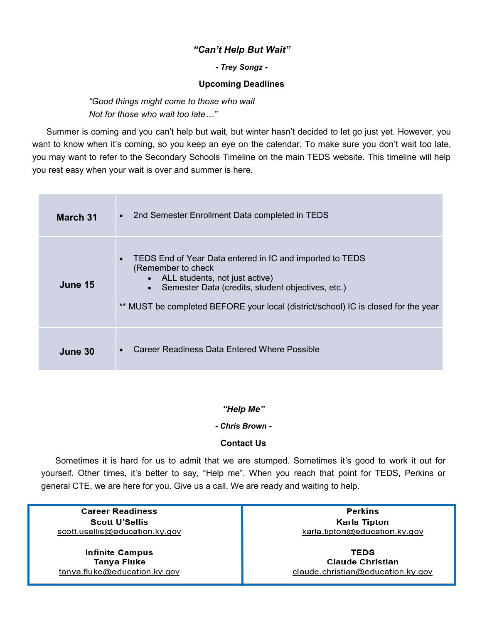# *"Can't Help But Wait"*

*- Trey Songz -*

#### **Upcoming Deadlines**

<span id="page-3-0"></span>*"Good things might come to those who wait Not for those who wait too late…"*

Summer is coming and you can't help but wait, but winter hasn't decided to let go just yet. However, you want to know when it's coming, so you keep an eye on the calendar. To make sure you don't wait too late, you may want to refer to the Secondary Schools Timeline on the main TEDS website. This timeline will help you rest easy when your wait is over and summer is here.

| <b>March 31</b> | 2nd Semester Enrollment Data completed in TEDS<br>$\bullet$                                                                                                                                                                                                                           |
|-----------------|---------------------------------------------------------------------------------------------------------------------------------------------------------------------------------------------------------------------------------------------------------------------------------------|
| June 15         | TEDS End of Year Data entered in IC and imported to TEDS<br>$\bullet$<br>(Remember to check<br>ALL students, not just active)<br>$\bullet$<br>Semester Data (credits, student objectives, etc.)<br>** MUST be completed BEFORE your local (district/school) IC is closed for the year |
| June 30         | Career Readiness Data Entered Where Possible<br>$\bullet$                                                                                                                                                                                                                             |

### *"Help Me"*

#### *- Chris Brown -*

# **Contact Us**

Sometimes it is hard for us to admit that we are stumped. Sometimes it's good to work it out for yourself. Other times, it's better to say, "Help me". When you reach that point for TEDS, Perkins or general CTE, we are here for you. Give us a call. We are ready and waiting to help.

| <b>Career Readiness</b>        | <b>Perkins</b>                    |
|--------------------------------|-----------------------------------|
| <b>Scott U'Sellis</b>          | Karla Tipton                      |
| scott.usellis@education.ky.gov | karla.tipton@education.ky.gov     |
|                                |                                   |
| <b>Infinite Campus</b>         | <b>TEDS</b>                       |
| <b>Tanya Fluke</b>             | <b>Claude Christian</b>           |
| tanya fluke@education.ky.gov   | claude.christian@education.ky.gov |
|                                |                                   |